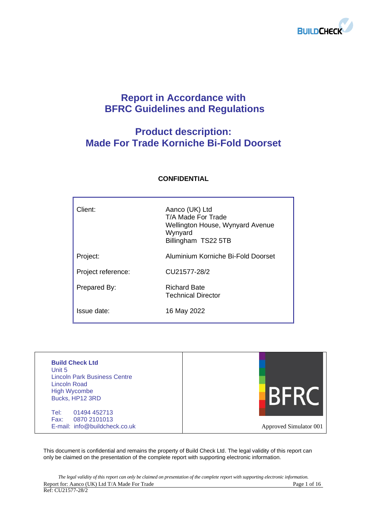

# **Report in Accordance with BFRC Guidelines and Regulations**

# **Product description: Made For Trade Korniche Bi-Fold Doorset**

| Client:            | Aanco (UK) Ltd<br>T/A Made For Trade<br>Wellington House, Wynyard Avenue<br>Wynyard<br>Billingham TS22 5TB |
|--------------------|------------------------------------------------------------------------------------------------------------|
| Project:           | Aluminium Korniche Bi-Fold Doorset                                                                         |
| Project reference: | CU21577-28/2                                                                                               |
| Prepared By:       | <b>Richard Bate</b><br><b>Technical Director</b>                                                           |
| Issue date:        | 16 May 2022                                                                                                |

## **CONFIDENTIAL**

| <b>Build Check Ltd</b><br>Unit 5<br><b>Lincoln Park Business Centre</b><br>Lincoln Road<br><b>High Wycombe</b><br>Bucks, HP12 3RD |                        |
|-----------------------------------------------------------------------------------------------------------------------------------|------------------------|
| 01494 452713<br>Tel:<br>Fax:<br>0870 2101013<br>E-mail: info@buildcheck.co.uk                                                     | Approved Simulator 001 |

This document is confidential and remains the property of Build Check Ltd. The legal validity of this report can only be claimed on the presentation of the complete report with supporting electronic information.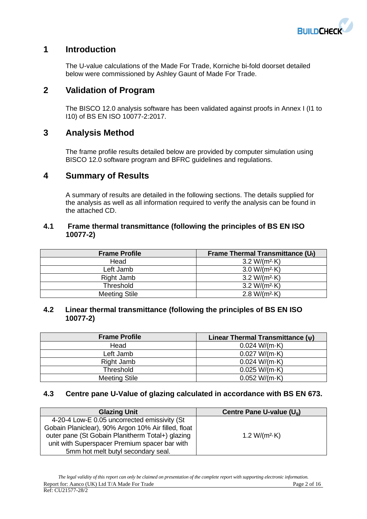

## **1 Introduction**

The U-value calculations of the Made For Trade, Korniche bi-fold doorset detailed below were commissioned by Ashley Gaunt of Made For Trade.

## **2 Validation of Program**

The BISCO 12.0 analysis software has been validated against proofs in Annex I (I1 to I10) of BS EN ISO 10077-2:2017.

## **3 Analysis Method**

The frame profile results detailed below are provided by computer simulation using BISCO 12.0 software program and BFRC guidelines and regulations.

## **4 Summary of Results**

A summary of results are detailed in the following sections. The details supplied for the analysis as well as all information required to verify the analysis can be found in the attached CD.

## **4.1 Frame thermal transmittance (following the principles of BS EN ISO 10077-2)**

| <b>Frame Profile</b> | Frame Thermal Transmittance $(U_i)$ |
|----------------------|-------------------------------------|
| Head                 | 3.2 W/( $m^2$ -K)                   |
| Left Jamb            | $3.0 W/(m^2 \cdot K)$               |
| Right Jamb           | $3.2 W/(m^2 \cdot K)$               |
| <b>Threshold</b>     | $3.2 W/(m^2 \cdot K)$               |
| <b>Meeting Stile</b> | $2.8 W/(m^2 \cdot K)$               |

## **4.2 Linear thermal transmittance (following the principles of BS EN ISO 10077-2)**

| <b>Frame Profile</b> | Linear Thermal Transmittance $(v)$ |
|----------------------|------------------------------------|
| Head                 | 0.024 W/(m·K)                      |
| Left Jamb            | 0.027 W/(m·K)                      |
| Right Jamb           | 0.024 W/(m·K)                      |
| <b>Threshold</b>     | $0.025 W/(m \cdot K)$              |
| <b>Meeting Stile</b> | 0.052 W/(m·K)                      |

## **4.3 Centre pane U-Value of glazing calculated in accordance with BS EN 673.**

| <b>Glazing Unit</b>                                 | Centre Pane U-value $(U_a)$ |
|-----------------------------------------------------|-----------------------------|
| 4-20-4 Low-E 0.05 uncorrected emissivity (St        |                             |
| Gobain Planiclear), 90% Argon 10% Air filled, float |                             |
| outer pane (St Gobain Planitherm Total+) glazing    | 1.2 W/( $m^2$ -K)           |
| unit with Superspacer Premium spacer bar with       |                             |
| 5mm hot melt butyl secondary seal.                  |                             |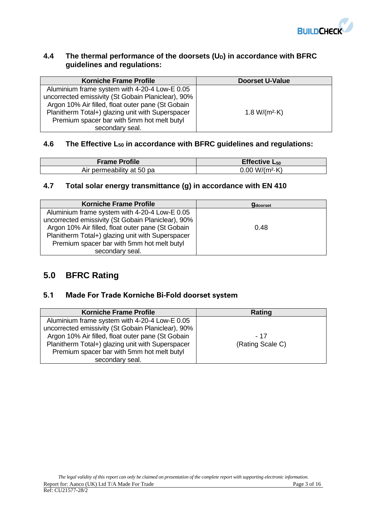

## **4.4 The thermal performance of the doorsets (UD) in accordance with BFRC guidelines and regulations:**

| <b>Korniche Frame Profile</b>                      | <b>Doorset U-Value</b> |
|----------------------------------------------------|------------------------|
| Aluminium frame system with 4-20-4 Low-E 0.05      |                        |
| uncorrected emissivity (St Gobain Planiclear), 90% |                        |
| Argon 10% Air filled, float outer pane (St Gobain  |                        |
| Planitherm Total+) glazing unit with Superspacer   | 1.8 W/( $m^2$ -K)      |
| Premium spacer bar with 5mm hot melt butyl         |                        |
| secondary seal.                                    |                        |

## **4.6 The Effective L<sup>50</sup> in accordance with BFRC guidelines and regulations:**

| <b>Frame Profile</b>      | Effective $L_{50}$     |
|---------------------------|------------------------|
| Air permeability at 50 pa | $0.00 W/(m^2 \cdot K)$ |

## **4.7 Total solar energy transmittance (g) in accordance with EN 410**

| <b>Korniche Frame Profile</b>                      | <b>g</b> doorset |
|----------------------------------------------------|------------------|
| Aluminium frame system with 4-20-4 Low-E 0.05      |                  |
| uncorrected emissivity (St Gobain Planiclear), 90% |                  |
| Argon 10% Air filled, float outer pane (St Gobain  | 0.48             |
| Planitherm Total+) glazing unit with Superspacer   |                  |
| Premium spacer bar with 5mm hot melt butyl         |                  |
| secondary seal.                                    |                  |

## **5.0 BFRC Rating**

## **5.1 Made For Trade Korniche Bi-Fold doorset system**

| <b>Korniche Frame Profile</b>                                                                                                                            | Rating           |
|----------------------------------------------------------------------------------------------------------------------------------------------------------|------------------|
| Aluminium frame system with 4-20-4 Low-E 0.05<br>uncorrected emissivity (St Gobain Planiclear), 90%<br>Argon 10% Air filled, float outer pane (St Gobain | - 17             |
| Planitherm Total+) glazing unit with Superspacer<br>Premium spacer bar with 5mm hot melt butyl<br>secondary seal.                                        | (Rating Scale C) |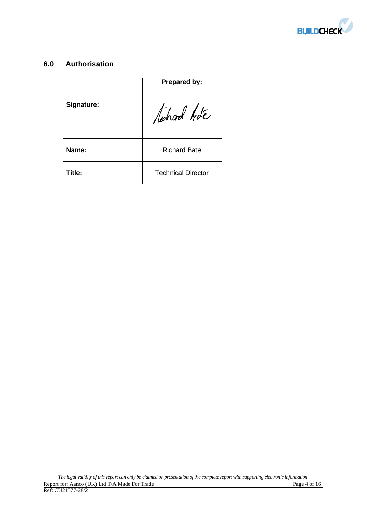

## **6.0 Authorisation**

|            | Prepared by:              |
|------------|---------------------------|
| Signature: | lichard hote              |
| Name:      | <b>Richard Bate</b>       |
| Title:     | <b>Technical Director</b> |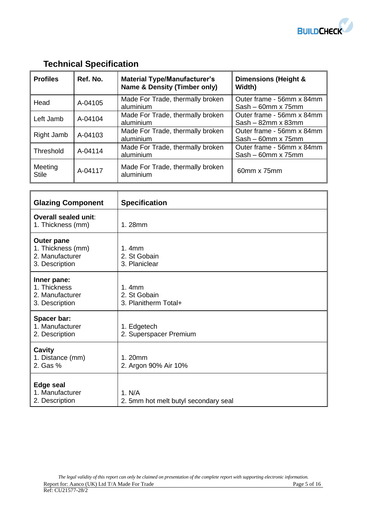

# **Technical Specification**

| <b>Profiles</b>         | Ref. No. | <b>Material Type/Manufacturer's</b><br><b>Name &amp; Density (Timber only)</b> | Dimensions (Height &<br>Width)                         |
|-------------------------|----------|--------------------------------------------------------------------------------|--------------------------------------------------------|
| Head                    | A-04105  | Made For Trade, thermally broken<br>aluminium                                  | Outer frame - 56mm x 84mm<br>$Sash - 60mm \times 75mm$ |
| Left Jamb               | A-04104  | Made For Trade, thermally broken<br>aluminium                                  | Outer frame - 56mm x 84mm<br>$Sash - 82mm \times 83mm$ |
| Right Jamb              | A-04103  | Made For Trade, thermally broken<br>aluminium                                  | Outer frame - 56mm x 84mm<br>$Sash - 60mm \times 75mm$ |
| Threshold               | A-04114  | Made For Trade, thermally broken<br>aluminium                                  | Outer frame - 56mm x 84mm<br>$Sash - 60mm \times 75mm$ |
| Meeting<br><b>Stile</b> | A-04117  | Made For Trade, thermally broken<br>aluminium                                  | 60mm x 75mm                                            |

| <b>Glazing Component</b>                                                    | <b>Specification</b>                                      |
|-----------------------------------------------------------------------------|-----------------------------------------------------------|
| Overall sealed unit:<br>1. Thickness (mm)                                   | 1.28mm                                                    |
| <b>Outer pane</b><br>1. Thickness (mm)<br>2. Manufacturer<br>3. Description | 1.4mm<br>2. St Gobain<br>3. Planiclear                    |
| Inner pane:<br>1. Thickness<br>2. Manufacturer<br>3. Description            | 1.4 <sub>mm</sub><br>2. St Gobain<br>3. Planitherm Total+ |
| Spacer bar:<br>1. Manufacturer<br>2. Description                            | 1. Edgetech<br>2. Superspacer Premium                     |
| Cavity<br>1. Distance (mm)<br>2. Gas %                                      | 1.20mm<br>2. Argon 90% Air 10%                            |
| <b>Edge seal</b><br>1. Manufacturer<br>2. Description                       | 1. N/A<br>2. 5mm hot melt butyl secondary seal            |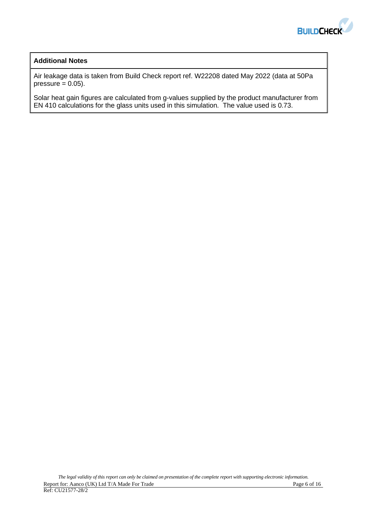

## **Additional Notes**

Air leakage data is taken from Build Check report ref. W22208 dated May 2022 (data at 50Pa pressure  $= 0.05$ ).

Solar heat gain figures are calculated from g-values supplied by the product manufacturer from EN 410 calculations for the glass units used in this simulation. The value used is 0.73.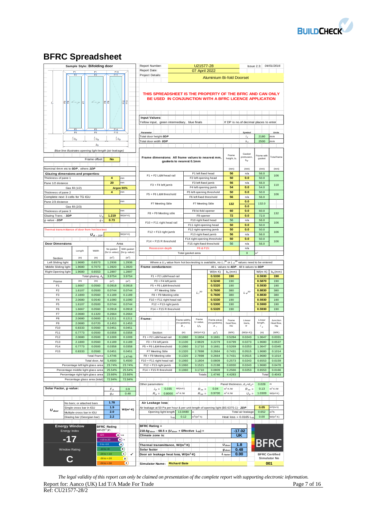

# **BFRC Spreadsheet**

| Sample Style: Bifolding door                             |                                                                         |                                     |                                    | Report Number:<br>U21577-28<br>$lssue$ 2.3: |                                                                                                                     |                          |                                                     |                             |                                          | 04/01/2016                            |                          |                                              |
|----------------------------------------------------------|-------------------------------------------------------------------------|-------------------------------------|------------------------------------|---------------------------------------------|---------------------------------------------------------------------------------------------------------------------|--------------------------|-----------------------------------------------------|-----------------------------|------------------------------------------|---------------------------------------|--------------------------|----------------------------------------------|
|                                                          | F <sub>2</sub>                                                          | F <sub>1</sub><br>F <sub>2</sub>    | F10<br>F11                         |                                             | 07 April 2022<br>Report Date:<br>Project Details:                                                                   |                          |                                                     |                             |                                          |                                       |                          |                                              |
|                                                          |                                                                         |                                     |                                    |                                             |                                                                                                                     |                          |                                                     |                             | Aluminium Bi-fold Doorset                |                                       |                          |                                              |
| 오불                                                       | $2 - 7$<br>E                                                            |                                     | 있다                                 | 읪                                           | THIS SPREADSHEET IS THE PROPERTY OF THE BFRC AND CAN ONLY<br>BE USED IN CONJUNCTION WITH A BFRC LICENCE APPLICATION |                          |                                                     |                             |                                          |                                       |                          |                                              |
|                                                          |                                                                         |                                     |                                    |                                             | <b>Input Values:</b>                                                                                                |                          |                                                     |                             |                                          |                                       |                          |                                              |
|                                                          |                                                                         |                                     |                                    |                                             | Yellow input, green intermediary, blue finals                                                                       |                          |                                                     |                             |                                          | X DP is no.of decimal places to enter |                          |                                              |
|                                                          |                                                                         | F <sub>5</sub>                      | F14                                |                                             |                                                                                                                     |                          |                                                     |                             |                                          |                                       |                          |                                              |
|                                                          | F <sub>5</sub><br>F <sub>6</sub>                                        | F <sub>6</sub>                      | F <sub>15</sub>                    |                                             | Parameter                                                                                                           |                          |                                                     |                             |                                          | Symbol                                |                          | Units                                        |
|                                                          | $\frac{1}{3}b_d$                                                        | $\frac{1}{3}b_d$                    | $\frac{1}{3}b_d$                   |                                             | Total door height ODP                                                                                               |                          |                                                     |                             |                                          | $l_{A}$                               | 2180                     | mm                                           |
|                                                          |                                                                         | $b_d$                               |                                    |                                             | Total door width ODP                                                                                                |                          |                                                     |                             |                                          | $b_d$                                 | 2500                     | mm                                           |
| Blue line illustrates opening light length (air leakage) |                                                                         |                                     |                                    |                                             |                                                                                                                     |                          |                                                     |                             | Frame                                    | Gasket                                | Frame with               |                                              |
|                                                          |                                                                         | Frame offset:                       | <b>No</b>                          |                                             | Frame dimensions: All frame values to nearest mm,                                                                   | gaskets to nearest 0.1mm |                                                     |                             | height, b <sub>f</sub>                   | protrusion.<br>$b_{gt}$               | gasket                   | <b>Total</b> frame                           |
| Nominal 4mm etc to ODP, others 1DP                       |                                                                         |                                     |                                    |                                             |                                                                                                                     |                          |                                                     |                             | (mm)                                     | (mm)                                  | (mm)                     | (mm)                                         |
| Glazing dimensions and properties:                       |                                                                         |                                     |                                    |                                             | F1 + F2 L&M head rail                                                                                               |                          | F1 left fixed head                                  |                             | 56                                       | n/a                                   | 56.0                     | 106                                          |
| Thickness of pane 1                                      |                                                                         |                                     | 4<br>20                            | mm<br>mm                                    |                                                                                                                     |                          | F2 left opening head                                |                             | 50                                       | 0.0                                   | 50.0                     |                                              |
| Pane 1/2 distance                                        |                                                                         |                                     |                                    |                                             | F3 + F4 left jamb                                                                                                   |                          | F3 left fixed jamb<br>F4 left opening jamb          |                             | 56<br>54                                 | n/a<br>0.0                            | 56.0<br>54.0             | 110                                          |
| Thickness of pane 2                                      | Gas fill (1/2)                                                          |                                     | $\overline{4}$                     | Argon 90%<br>mm                             |                                                                                                                     |                          | F5 left opening threshold                           |                             | 50                                       | 0.0                                   | 50.0                     |                                              |
| Complete next 3 cells for TG IGU                         |                                                                         |                                     |                                    |                                             | F5 + F6 L&M threshold                                                                                               |                          | F6 left fixed threshold                             |                             | 56                                       | n/a                                   | 56.0                     | 106                                          |
| Pane 2/3 distance                                        |                                                                         |                                     |                                    | mm                                          |                                                                                                                     |                          |                                                     |                             |                                          | 0.0                                   |                          |                                              |
|                                                          | Gas fill (2/3)                                                          |                                     |                                    |                                             | F7 Meeting Stile                                                                                                    |                          | F7 Meeting Stile                                    |                             | 132                                      | 0.0                                   | 132.0                    |                                              |
| Thickness of pane 3                                      |                                                                         |                                     |                                    | mm                                          | F8 + F9 Meeting stile                                                                                               |                          | F8 bi-fold opener                                   |                             | 60                                       | 0.0                                   | 60.0                     | 132                                          |
| Glazing Trans. - 3DP                                     |                                                                         | U.                                  | 1.219                              | $W/(m^2 K)$                                 |                                                                                                                     |                          | F9 opener                                           |                             | 72                                       | 0.0                                   | 72.0                     |                                              |
| g-value - 2DP                                            |                                                                         | $g_{\perp}$                         | 0.73                               |                                             | F10 + F11 right head rail                                                                                           |                          | F10 right fixed head                                |                             | 56                                       | n/a                                   | 56.0                     | 106                                          |
|                                                          |                                                                         |                                     |                                    |                                             |                                                                                                                     |                          | F11 right opening head                              |                             | 50                                       | 0.0                                   | 50.0                     |                                              |
| Thermal transmittance of door from hot box test          |                                                                         |                                     |                                    | W/(m <sup>2</sup> ·K)                       | F12 + F13 right jamb                                                                                                |                          | F12 right opening jamb                              |                             | 50<br>56                                 | 0.0<br>n/a                            | 50.0<br>56.0             | 106                                          |
|                                                          |                                                                         | $\boldsymbol{U}_{d\rightarrow 2DP}$ |                                    |                                             |                                                                                                                     |                          | F13 right fixed jamb<br>F14 right opening threshold |                             | 50                                       | 0.0                                   | 50.0                     |                                              |
| <b>Door Dimensions:</b>                                  |                                                                         |                                     |                                    | Area                                        | F14 + F15 R threshold                                                                                               |                          | F15 right fixed threshold                           |                             | 56                                       | n/a                                   | 56.0                     | 106                                          |
|                                                          |                                                                         |                                     | No gasket                          | With gasket                                 | <b>Recession depth</b>                                                                                              |                          | F6 & F15:                                           |                             |                                          | n/a                                   |                          |                                              |
|                                                          | Length                                                                  | Width                               | (for U-value)                      | (for g-value)                               |                                                                                                                     | Total gasket area        |                                                     |                             |                                          | $\mathsf{o}\xspace$                   |                          |                                              |
| Section                                                  | (m)                                                                     | (m)                                 | (m <sup>2</sup> )                  | (m <sup>2</sup> )                           |                                                                                                                     |                          |                                                     |                             |                                          |                                       |                          |                                              |
| Left Sliding light                                       | 1.9680                                                                  | 0.6573                              | 1.2936                             | 1.2936                                      | Where a $U_d$ value from hot box testing is available, no $L_f^{20}$ or $L_{\psi}^{20}$ values need to be entered   |                          |                                                     |                             |                                          |                                       |                          |                                              |
| Middle Sliding light                                     | 1.9680                                                                  | 0.7073                              | 1.3920                             | 1.3920                                      | Frame conductance:                                                                                                  |                          |                                                     |                             | All L values to 4DP. All b values to ODP |                                       |                          |                                              |
| Right Opening light                                      | 1.9680                                                                  | 0.6553                              | 1.2897                             | 1.2897                                      |                                                                                                                     |                          |                                                     | $W/(m \cdot K)$             | $b_p$ (mm)                               |                                       | $W/(m \cdot K)$          | $b_q$ (mm)                                   |
|                                                          |                                                                         | Total glazing, A                    | 3.9754                             | 3.9754                                      | F1 + F2 L&M head rail                                                                                               |                          |                                                     | 0.5330                      | 190                                      |                                       | 0.5930                   | 190                                          |
| Frame<br>F1                                              | (m)<br>1.6667                                                           | (m)<br>0.0560                       | (m <sup>2</sup> )<br>0.0918        | (m <sup>2</sup> )<br>0.0918                 | F3 + F4 left jamb<br>F5 + F6 L&M threshold                                                                          |                          |                                                     | 0.5240<br>0.5320            | 190<br>190                               |                                       | 0.5870<br>0.5930         | 190<br>190                                   |
| F <sub>2</sub>                                           | 1.6107                                                                  | 0.0500                              | 0.0744                             | 0.0744                                      | F7 Meeting Stile                                                                                                    |                          |                                                     | 0.7600                      | 380                                      |                                       | 0.8830                   | 380                                          |
| F <sub>3</sub>                                           | 2.1800                                                                  | 0.0560                              | 0.1189                             | 0.1189                                      | F8 + F9 Meeting stile                                                                                               |                          | $L_f^{2\rm D}$                                      | 0.7600                      | 380                                      | $L \, \varphi^{\rm 2D}$               | 0.8830                   | 380                                          |
| F <sub>4</sub>                                           | 2.0680                                                                  | 0.0540                              | 0.1090                             | 0.1090                                      | F10 + F11 right head rail                                                                                           |                          |                                                     | 0.5330                      | 190                                      |                                       | 0.5930                   | 190                                          |
| F <sub>5</sub>                                           | 1.6107                                                                  | 0.0500                              | 0.0744                             | 0.0744                                      | F12 + F13 right jamb                                                                                                |                          |                                                     | 0.5300                      | 190                                      |                                       | 0.5900                   | 190                                          |
| F <sub>6</sub>                                           | 1.6667                                                                  | 0.0560                              | 0.0918                             | 0.0918                                      | F14 + F15 R threshold                                                                                               |                          |                                                     | 0.5320                      | 190                                      |                                       | 0.5930                   | 190                                          |
| F7                                                       | 2.0680                                                                  | 0.1320                              | 0.2664                             | 0.2664                                      |                                                                                                                     |                          |                                                     |                             |                                          |                                       |                          |                                              |
| F <sub>8</sub>                                           | 2.0680                                                                  | 0.0600                              | 0.1211                             | 0.1211                                      | Frame:                                                                                                              | Frame widths             | Frame<br>U-value,                                   | Frame areas                 | Frame                                    | Linear                                | Linear                   | Junction                                     |
| F <sub>9</sub>                                           | 2.0680<br>0.8333                                                        | 0.0720<br>0.0560                    | 0.1453<br>0.0451                   | 0.1453<br>0.0451                            |                                                                                                                     | (no gaskets)<br>B,       | U,                                                  | (no gaskets),<br>$A_{f}$    | heat flow,<br>HU                         | trans,<br>$\psi$                      | length,<br>$\frac{1}{g}$ | Heat flow,<br>$H\Phi$                        |
| F10<br>F11                                               | 0.7773                                                                  | 0.0500                              | 0.0358                             | 0.0358                                      | Section                                                                                                             | (m)                      | (W/(m <sup>2</sup> ·K))                             |                             | (W/K)                                    | $(W/(m \cdot K))$                     |                          | (W/K)                                        |
| F12                                                      | 2.0680                                                                  | 0.0500                              | 0.1009                             | 0.1009                                      | F1 + F2 L&M head rail                                                                                               | 0.1060                   | 3.1804                                              | (m <sup>2</sup> )<br>0.1661 | 0.5284                                   | 0.0243                                | (m)<br>1.3647            | 0.0331                                       |
| F13                                                      | 2.1800                                                                  | 0.0560                              | 0.1189                             | 0.1189                                      | F3 + F4 left jamb                                                                                                   | 0.1100                   | 2.9829                                              | 0.2279                      | 0.6799                                   | 0.0273                                | 1.9680                   | 0.0537                                       |
| F14                                                      | 0.7773                                                                  | 0.0500                              | 0.0358                             | 0.0358                                      | F5 + F6 L&M threshold                                                                                               | 0.1060                   | 3.1710                                              | 0.1661                      | 0.5269                                   | 0.0253                                | 1.3647                   | 0.0345                                       |
| F15                                                      | 0.8333                                                                  | 0.0560                              | 0.0451                             | 0.0451                                      | F7 Meeting Stile                                                                                                    | 0.1320                   | 2.7898                                              | 0.2664                      | 0.7431                                   | 0.0515                                | 1.9680                   | 0.1014                                       |
|                                                          |                                                                         | <b>Total Frame</b>                  | 1.4746                             | 1.4746                                      | F8 + F9 Meeting stile                                                                                               | 0.1320                   | 2.7898                                              | 0.2664                      | 0.7431                                   | 0.0515                                | 1.9680                   | 0.1014                                       |
|                                                          |                                                                         | Total door, Ad                      | 5.4500                             | 5.4500                                      | F10 + F11 right head rail                                                                                           | 0.1060                   | 3.1804                                              | 0.0809                      | 0.2573                                   | 0.0243                                | 0.6553                   | 0.0159                                       |
|                                                          | Percentage left light glass area                                        |                                     | 23.74%                             | 23.74%                                      | F12 + F13 right jamb                                                                                                | 0.1060                   | 3.1521                                              | 0.2198                      | 0.6930                                   | 0.0243                                | 1.9680                   | 0.0478                                       |
|                                                          | Percentage middle light glass area<br>Percentage right light glass area |                                     | 25.54%<br>23.66%                   | 25.54%<br>23.66%                            | F14 + F15 R threshold                                                                                               | 0.1060                   | 3.1710<br>Totals                                    | 0.0809<br>1.4746            | 0.2566<br>4.4283                         | 0.0253                                | 0.6553<br>Total          | 0.0166<br>0.4043                             |
|                                                          | Percentage glass area (total)                                           |                                     | 72.94%                             | 72.94%                                      |                                                                                                                     |                          |                                                     |                             |                                          |                                       |                          |                                              |
|                                                          |                                                                         |                                     |                                    |                                             | Other parameters:                                                                                                   |                          |                                                     |                             | Panel thickness, $d_p = d_q =$           |                                       | 0.028                    | m                                            |
| Solar Factor, g-value:                                   |                                                                         |                                     | Fa                                 | 0.9                                         | 0.035<br>$\lambda_p =$                                                                                              | $W/(m \cdot K)$          | $R_{se} =$                                          | 0.04                        | $m^2$ -K /W                              | $R_{se} =$                            | 0.13                     | $m^2$ -K /W                                  |
|                                                          |                                                                         |                                     | $g_d$                              | 0.48                                        | 0.8000<br>$R_p =$                                                                                                   | $m^2$ -K /W              | $R_{tot} =$                                         | 0.9700                      | $m^2$ K /W                               | $U_p =$                               | 1.0309                   | W/(m <sup>2</sup> -K)                        |
|                                                          |                                                                         |                                     |                                    |                                             |                                                                                                                     |                          |                                                     |                             |                                          |                                       |                          |                                              |
|                                                          | No bars; or attached bars                                               |                                     | 1.78                               |                                             | Air Leakage loss:                                                                                                   |                          |                                                     |                             |                                          |                                       |                          |                                              |
| $U_{door}$                                               | Single cross bar in IGU                                                 |                                     | 1.9<br>2.0                         | $W/(m^2 \cdot K)$                           | Vir leakage at 50 Pa per hour & per unit length of opening light (BS 6375-1) - 2DP<br>Opening light length          | 13.0480                  | m                                                   |                             |                                          |                                       | 0.05                     | m <sup>3</sup> /(m-h)                        |
|                                                          | Multiple cross bar in IGU<br>Glazing bar (Georgian bar)                 |                                     | 2.2                                |                                             | $L_{50}$                                                                                                            | 0.12                     | $m^3/(m^2 \cdot h)$                                 |                             | Heat $loss = 0.0165$ L <sub>5</sub>      | Total air leakage                     | 0.652<br>0.00            | $m^3/h$<br>$W/(m^2 \cdot K)$                 |
|                                                          |                                                                         |                                     |                                    |                                             |                                                                                                                     |                          |                                                     |                             |                                          |                                       |                          |                                              |
| <b>Energy Window</b>                                     |                                                                         |                                     | <b>BFRC Rating</b>                 |                                             | <b>BFRC Rating =</b>                                                                                                |                          |                                                     |                             |                                          |                                       |                          |                                              |
| Energy Index                                             |                                                                         |                                     | kWh/(m <sup>2</sup> ·yr)           |                                             | 218.6g <sub>door</sub> - 68.5 x (U <sub>door</sub> + Effective L <sub>50</sub> ) =                                  |                          |                                                     |                             |                                          | -17.02                                |                          |                                              |
| $(A)$ +<br>$\geq 20$<br>-17                              |                                                                         |                                     |                                    | Climate zone is:                            |                                                                                                                     |                          |                                                     |                             | <b>UK</b>                                |                                       |                          |                                              |
|                                                          |                                                                         |                                     | >10 to 20                          | $(A) +$                                     |                                                                                                                     |                          |                                                     |                             |                                          |                                       |                          | <b>BFRC</b>                                  |
|                                                          |                                                                         |                                     | $0$ to $< 10$                      | $\omega$                                    | Thermal transmittance, W/(m <sup>2</sup> ·K)                                                                        |                          |                                                     |                             | $U_{dool}$                               | 1.8                                   |                          |                                              |
| <b>Window Rating</b>                                     |                                                                         |                                     | $-10$ to $< 0$<br>$-20$ to $< -10$ | B)<br>$\circ$<br>✓                          | Solar factor                                                                                                        |                          |                                                     |                             | $g_{\text{door}}$                        | 0.48                                  |                          |                                              |
|                                                          |                                                                         |                                     | $-30$ to $<-20$                    | D                                           | Door air leakage heat loss, W/(m <sup>2</sup> ·K)                                                                   |                          |                                                     |                             | $L_{factor}$                             | 0.00                                  |                          | <b>BFRC Certified</b><br><b>Simulator No</b> |
|                                                          |                                                                         |                                     | $-50$ to $< -30$                   | $\bigcirc$                                  | Simulator Name: Richard Bate                                                                                        |                          |                                                     |                             |                                          |                                       |                          | 001                                          |
|                                                          |                                                                         |                                     |                                    |                                             |                                                                                                                     |                          |                                                     |                             |                                          |                                       |                          |                                              |

*The legal validity of this report can only be claimed on presentation of the complete report with supporting electronic information.*  Report for: Aanco (UK) Ltd T/A Made For Trade Page 7 of 16 Ref: CU21577-28/2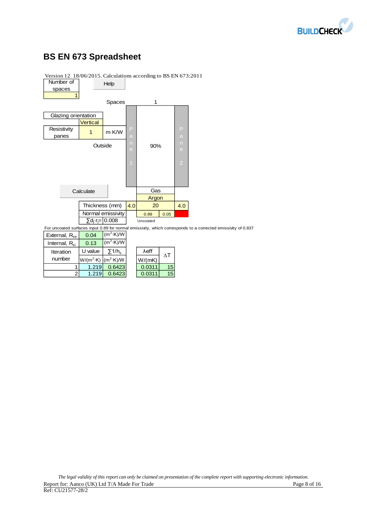

# **BS EN 673 Spreadsheet**



Version 12 18/06/2015. Calculations according to BS EN 673:2011

| ಀ                         |         |                                                |               |
|---------------------------|---------|------------------------------------------------|---------------|
| Internal, R <sub>si</sub> | 0.13    | $(m^2 \cdot K)/W$                              |               |
| Iteration                 | U value | $\nabla$ 1/h <sub>s</sub>                      | $\lambda$ eff |
| number                    |         | $W/(m^2 \cdot K)$ (m <sup>2</sup> $\cdot$ K)/W | W/(mK)        |
|                           | 1.219   | 0.6423                                         | 0.0311        |
| $\overline{2}$            | .219    | 0.6423                                         | 0.0311        |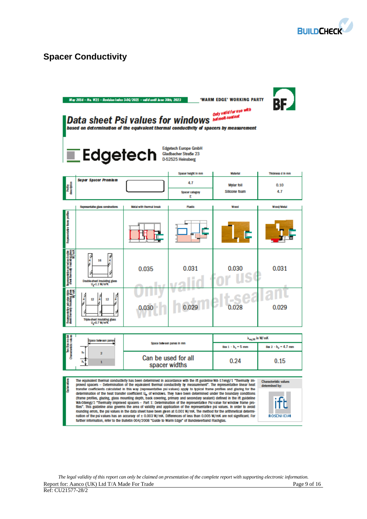

# **Spacer Conductivity**

|                                                                                                        | May 2014 - No. W21 - Revision index 3-06/2021 - valid until June 30th, 2023<br>'WARM EDGE' WORKING PARTY<br>BE<br>Only valid for use with<br>Data sheet Psi values for windows <b>Maturell</b> .sealant<br>based on determination of the equivalent thermal conductivity of spacers by measurement<br><b>Edgetech Europe GmbH</b><br>$\blacksquare$ Edgetech<br>Gladbacher Straße 23<br>D-52525 Heinsberg                                                                                                                                                                                                                                                                                                                                                                                                                                                                                                                                                                                                                                                                                                                                                                                                                                                                                                                     |                                      |                             |                                    |                                |  |  |
|--------------------------------------------------------------------------------------------------------|-------------------------------------------------------------------------------------------------------------------------------------------------------------------------------------------------------------------------------------------------------------------------------------------------------------------------------------------------------------------------------------------------------------------------------------------------------------------------------------------------------------------------------------------------------------------------------------------------------------------------------------------------------------------------------------------------------------------------------------------------------------------------------------------------------------------------------------------------------------------------------------------------------------------------------------------------------------------------------------------------------------------------------------------------------------------------------------------------------------------------------------------------------------------------------------------------------------------------------------------------------------------------------------------------------------------------------|--------------------------------------|-----------------------------|------------------------------------|--------------------------------|--|--|
|                                                                                                        | <b>Super Spacer Premium</b>                                                                                                                                                                                                                                                                                                                                                                                                                                                                                                                                                                                                                                                                                                                                                                                                                                                                                                                                                                                                                                                                                                                                                                                                                                                                                                   |                                      | Spacer height in mm         | <b>Material</b>                    | Thickness d in mm              |  |  |
| Profile<br>description                                                                                 |                                                                                                                                                                                                                                                                                                                                                                                                                                                                                                                                                                                                                                                                                                                                                                                                                                                                                                                                                                                                                                                                                                                                                                                                                                                                                                                               |                                      | 4.7<br>Spacer category<br>Ε | <b>Mylar foil</b><br>Silicone foam | 0.10<br>4.7                    |  |  |
|                                                                                                        | Representative glass constructions                                                                                                                                                                                                                                                                                                                                                                                                                                                                                                                                                                                                                                                                                                                                                                                                                                                                                                                                                                                                                                                                                                                                                                                                                                                                                            | Motal with thermal break             | <b>Plastic</b>              | Wood                               | Wood/Matal                     |  |  |
| Representative from portion                                                                            |                                                                                                                                                                                                                                                                                                                                                                                                                                                                                                                                                                                                                                                                                                                                                                                                                                                                                                                                                                                                                                                                                                                                                                                                                                                                                                                               |                                      |                             |                                    |                                |  |  |
| Representative policelles double<br>sined thermally insulating glass<br>Note thermally insulating Vm K | J<br>16<br>4<br>Double-sheet insulating glass<br>$U_q$ -1.1 W/m%                                                                                                                                                                                                                                                                                                                                                                                                                                                                                                                                                                                                                                                                                                                                                                                                                                                                                                                                                                                                                                                                                                                                                                                                                                                              | 0.035                                | 0.031                       | 0.030                              | 0.031                          |  |  |
| Representa del palvales trios<br>Inet thermally insulating glass<br>Willich                            | Î<br>Î<br>12<br>12<br>¥<br>Tripia-sheet insulating glass<br>$U_{\rm g}$ = 0.7 W/m%                                                                                                                                                                                                                                                                                                                                                                                                                                                                                                                                                                                                                                                                                                                                                                                                                                                                                                                                                                                                                                                                                                                                                                                                                                            |                                      |                             | 0.028                              | 0.029                          |  |  |
|                                                                                                        |                                                                                                                                                                                                                                                                                                                                                                                                                                                                                                                                                                                                                                                                                                                                                                                                                                                                                                                                                                                                                                                                                                                                                                                                                                                                                                                               |                                      |                             |                                    | $\lambda_{\rm eq, 25}$ in W/mK |  |  |
| an militar Sozimo de<br>substantia de vali                                                             | Space between panes                                                                                                                                                                                                                                                                                                                                                                                                                                                                                                                                                                                                                                                                                                                                                                                                                                                                                                                                                                                                                                                                                                                                                                                                                                                                                                           | Space between panes in mm            |                             | Box 1 - h <sub>1</sub> = 5 mm      | $Bar 2 - h2 = 4.7$ mm          |  |  |
|                                                                                                        | 2<br>1                                                                                                                                                                                                                                                                                                                                                                                                                                                                                                                                                                                                                                                                                                                                                                                                                                                                                                                                                                                                                                                                                                                                                                                                                                                                                                                        | Can be used for all<br>spacer widths |                             | 0.24                               | 0.15                           |  |  |
| Explanation                                                                                            | The equivalent thermal conductivity has been determined in accordance with the ift guideline WA-17engl/1 "Thermally im-<br>Characteristic values<br>proved spacers – Determination of the equivalent thermal conductivity by measurement". The representative linear heat<br>determined by:<br>transfer coefficients calculated in this way (representative psi values) apply to typical frame profiles and glazing for the<br>determination of the heat transfer coefficient U, of windows. They have been determined under the boundary conditions<br>(frame profiles, glazing, glass mounting depth, back covering, primary and secondary sealant) defined in the ift guideline<br>WA-0Bengl/3 "Thermally improved spacers - Part 1: Determination of the representative Psi value for window frame pro-<br>files". This guideline also governs the area of validity and application of the representative psi values. In order to avoid<br>rounding errors, the psi values in the data sheet have been given at 0.001 W/mK. The method for the arithmetical determi-<br>nation of the psi values has an accuracy of ± 0.003 W/mK. Differences of less than 0.005 W/mK are not significant. For<br><b>ROSENHEIM</b><br>further information, refer to the Bulletin 004/2008 "Guide to Warm Edge" of Bundesverband Rachglas. |                                      |                             |                                    |                                |  |  |

*The legal validity of this report can only be claimed on presentation of the complete report with supporting electronic information.*  Report for: Aanco (UK) Ltd T/A Made For Trade **Page 9** of 16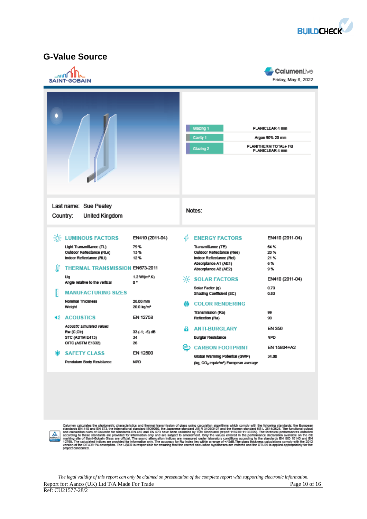

## **G-Value Source**

| الاالم | <b>SAINT-GOBAIN</b>                                                                                                         |                                    |                                                                                                                     |                                                                                                     | CalumenLive<br>Friday, May 6, 2022 |  |
|--------|-----------------------------------------------------------------------------------------------------------------------------|------------------------------------|---------------------------------------------------------------------------------------------------------------------|-----------------------------------------------------------------------------------------------------|------------------------------------|--|
|        |                                                                                                                             |                                    | Glazing 1<br>PLANICLEAR 4 mm<br>Cavity 1<br>Argon 90% 20 mm<br>PLANITHERM TOTAL+ FG<br>Glazing 2<br>PLANICLEAR 4 mm |                                                                                                     |                                    |  |
|        | Last name: Sue Peatey<br>Country:<br><b>United Kingdom</b>                                                                  |                                    |                                                                                                                     | Notes:                                                                                              |                                    |  |
|        | <b>EXECUTE LUMINOUS FACTORS</b>                                                                                             | EN410 (2011-04)                    | 4                                                                                                                   | <b>ENERGY FACTORS</b>                                                                               | EN410 (2011-04)                    |  |
| æ      | Light Transmittance (TL)<br>Outdoor Reflectance (RLe)<br>Indoor Reflectance (RLI)<br><b>THERMAL TRANSMISSION EN673-2011</b> | 79%<br>13%<br>12%                  |                                                                                                                     | Transmittance (TE)<br>Outdoor Reflectance (Ree)<br>Indoor Reflectance (Rel)<br>Absorptance A1 (AE1) | 64%<br>20%<br>21%<br>6%            |  |
|        | Ug                                                                                                                          | 1.2 W/(m <sup>2</sup> .K)          |                                                                                                                     | Absorptance A2 (AE2)<br><b>EXECUTE SOLAR FACTORS</b>                                                | 9%<br>EN410 (2011-04)              |  |
|        | Angle relative to the vertical<br><b>MANUFACTURING SIZES</b>                                                                | O.                                 |                                                                                                                     | Solar Factor (g)<br>Shading Coefficient (SC)                                                        | 0.73<br>0.83                       |  |
|        | Nominal Thickness<br>Weight                                                                                                 | 28.00 mm<br>20.0 kg/m <sup>2</sup> |                                                                                                                     | <b>COLOR RENDERING</b>                                                                              |                                    |  |
| ₫ŵ     | <b>ACOUSTICS</b>                                                                                                            | EN 12758                           |                                                                                                                     | Transmission (Ra)<br>Reflection (Ra)                                                                | 99<br>90                           |  |
|        | Acoustic simulated values<br>Rw (C;Ctr)<br>STC (ASTM E413)                                                                  | 33 (-1; -5) dB<br>34               |                                                                                                                     | <b>ANTI-BURGLARY</b><br><b>Burglar Resistance</b>                                                   | EN 356<br><b>NPD</b>               |  |
|        | OITC (ASTM E1332)<br><b>SAFETY CLASS</b>                                                                                    | 26<br>EN 12600                     | ඏ                                                                                                                   | <b>CARBON FOOTPRINT</b><br>Global Warming Potential (GWP)                                           | EN 15804+A2<br>34.00               |  |
|        | Pendulum Body Resistance                                                                                                    | <b>NPD</b>                         |                                                                                                                     | (kg, CO2 equiv/m <sup>3</sup> ) European average                                                    |                                    |  |



Calumen calculates the photometric characteristics and thermal transmission of glass using calculation algorithms which comply with the following standards: the European standards EN 410 and EN 673, the Infernational stand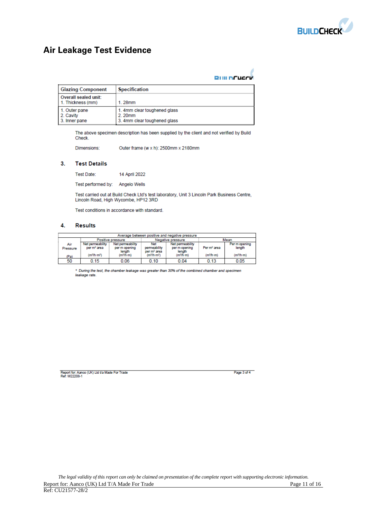

# **Air Leakage Test Evidence**

| <b>RUILDCUACK</b> |
|-------------------|

| <b>Glazing Component</b>                    | <b>Specification</b>                                                   |
|---------------------------------------------|------------------------------------------------------------------------|
| Overall sealed unit:<br>1. Thickness (mm)   | 1.28mm                                                                 |
| 1. Outer pane<br>2. Cavity<br>3. Inner pane | 1. 4mm clear toughened glass<br>2.20mm<br>3. 4mm clear toughened glass |

The above specimen description has been supplied by the client and not verified by Build Check.

Dimensions: Outer frame (w x h): 2500mm x 2180mm

### $3.$ **Test Details**

Test Date: 14 April 2022

Test performed by: Angelo Wells

Test carried out at Build Check Ltd's test laboratory, Unit 3 Lincoln Park Business Centre, Lincoln Road, High Wycombe, HP12 3RD

Test conditions in accordance with standard.

#### 4. **Results**

| Average between positive and negative pressure |                                             |                                             |                                                |                                             |                         |                         |  |
|------------------------------------------------|---------------------------------------------|---------------------------------------------|------------------------------------------------|---------------------------------------------|-------------------------|-------------------------|--|
|                                                |                                             | Positive pressure                           |                                                | Negative pressure                           | Mean                    |                         |  |
| Air<br>Pressure                                | Net permeability<br>per m <sup>2</sup> area | Net permeability<br>per m opening<br>length | Net<br>permeability<br>per m <sup>2</sup> area | Net permeability<br>per m opening<br>length | Per m <sup>2</sup> area | Per m opening<br>length |  |
| (Pa)                                           | (m <sup>3</sup> /h·m <sup>2</sup> )         | (m <sup>3</sup> /h·m)                       | (m <sup>3</sup> /h·m <sup>2</sup> )            | (m <sup>3</sup> /h·m)                       | (m <sup>3</sup> /h·m)   | (m <sup>3</sup> /h·m)   |  |
| 50                                             | 0.15                                        | 0.06                                        | 0.10                                           | 0.04                                        | 0.13                    | 0.05                    |  |

\* During the test, the chamber leakage was greater than 30% of the combined chamber and specimen leakage rate.

Report for: Aanco (UK) Ltd t/a Made For Trade<br>Ref: W22208-1

Page 3 of 4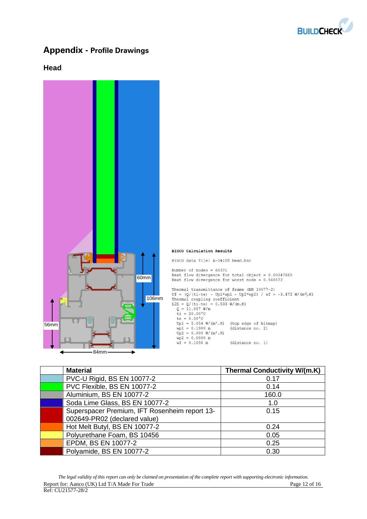

# **Appendix - Profile Drawings**

## **Head**



| <b>Material</b>                               | <b>Thermal Conductivity W/(m.K)</b> |
|-----------------------------------------------|-------------------------------------|
| PVC-U Rigid, BS EN 10077-2                    | 0.17                                |
| PVC Flexible, BS EN 10077-2                   | 0.14                                |
| Aluminium, BS EN 10077-2                      | 160.0                               |
| Soda Lime Glass, BS EN 10077-2                | 1.0                                 |
| Superspacer Premium, IFT Rosenheim report 13- | 0.15                                |
| 002649-PR02 (declared value)                  |                                     |
| Hot Melt Butyl, BS EN 10077-2                 | 0.24                                |
| Polyurethane Foam, BS 10456                   | 0.05                                |
| EPDM, BS EN 10077-2                           | 0.25                                |
| Polyamide, BS EN 10077-2                      | 0.30                                |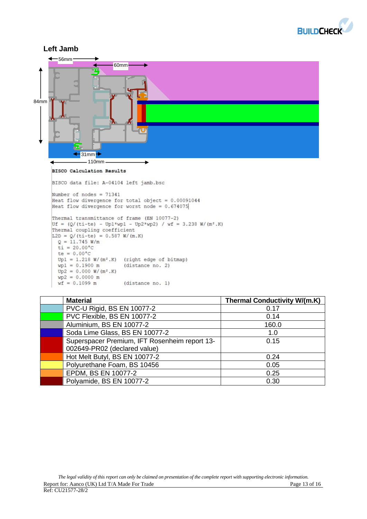



| <b>Material</b>                               | <b>Thermal Conductivity W/(m.K)</b> |
|-----------------------------------------------|-------------------------------------|
| PVC-U Rigid, BS EN 10077-2                    | 0.17                                |
| PVC Flexible, BS EN 10077-2                   | 0.14                                |
| Aluminium, BS EN 10077-2                      | 160.0                               |
| Soda Lime Glass, BS EN 10077-2                | 1.0                                 |
| Superspacer Premium, IFT Rosenheim report 13- | 0.15                                |
| 002649-PR02 (declared value)                  |                                     |
| Hot Melt Butyl, BS EN 10077-2                 | 0.24                                |
| Polyurethane Foam, BS 10456                   | 0.05                                |
| EPDM, BS EN 10077-2                           | 0.25                                |
| Polyamide, BS EN 10077-2                      | 0.30                                |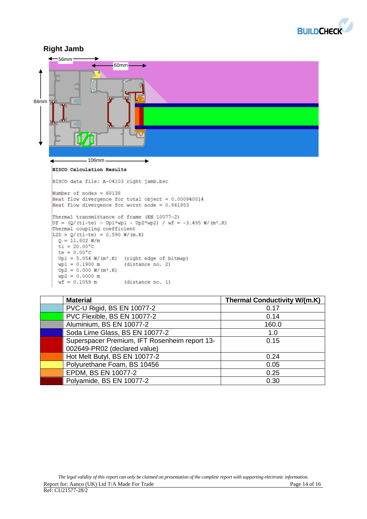



| <b>Material</b>                               | <b>Thermal Conductivity W/(m.K)</b> |
|-----------------------------------------------|-------------------------------------|
| PVC-U Rigid, BS EN 10077-2                    | 0.17                                |
| PVC Flexible, BS EN 10077-2                   | 0.14                                |
| Aluminium, BS EN 10077-2                      | 160.0                               |
| Soda Lime Glass, BS EN 10077-2                | 1.0                                 |
| Superspacer Premium, IFT Rosenheim report 13- | 0.15                                |
| 002649-PR02 (declared value)                  |                                     |
| Hot Melt Butyl, BS EN 10077-2                 | 0.24                                |
| Polyurethane Foam, BS 10456                   | 0.05                                |
| EPDM, BS EN 10077-2                           | 0.25                                |
| Polyamide, BS EN 10077-2                      | 0.30                                |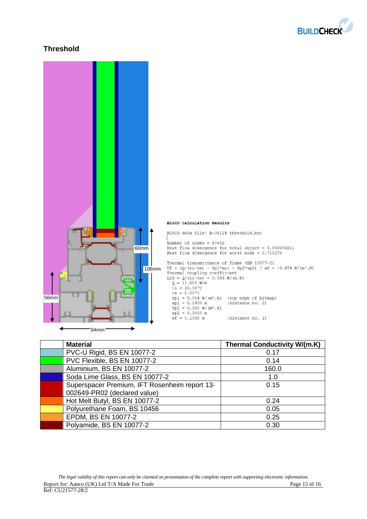

## **Threshold**



| <b>Material</b>                               | <b>Thermal Conductivity W/(m.K)</b> |
|-----------------------------------------------|-------------------------------------|
| PVC-U Rigid, BS EN 10077-2                    | 0.17                                |
| PVC Flexible, BS EN 10077-2                   | 0.14                                |
| Aluminium, BS EN 10077-2                      | 160.0                               |
| Soda Lime Glass, BS EN 10077-2                | 1.0                                 |
| Superspacer Premium, IFT Rosenheim report 13- | 0.15                                |
| 002649-PR02 (declared value)                  |                                     |
| Hot Melt Butyl, BS EN 10077-2                 | 0.24                                |
| Polyurethane Foam, BS 10456                   | 0.05                                |
| EPDM, BS EN 10077-2                           | 0.25                                |
| Polyamide, BS EN 10077-2                      | 0.30                                |

*The legal validity of this report can only be claimed on presentation of the complete report with supporting electronic information.*  Report for: Aanco (UK) Ltd T/A Made For Trade Page 15 of 16 Ref: CU21577-28/2